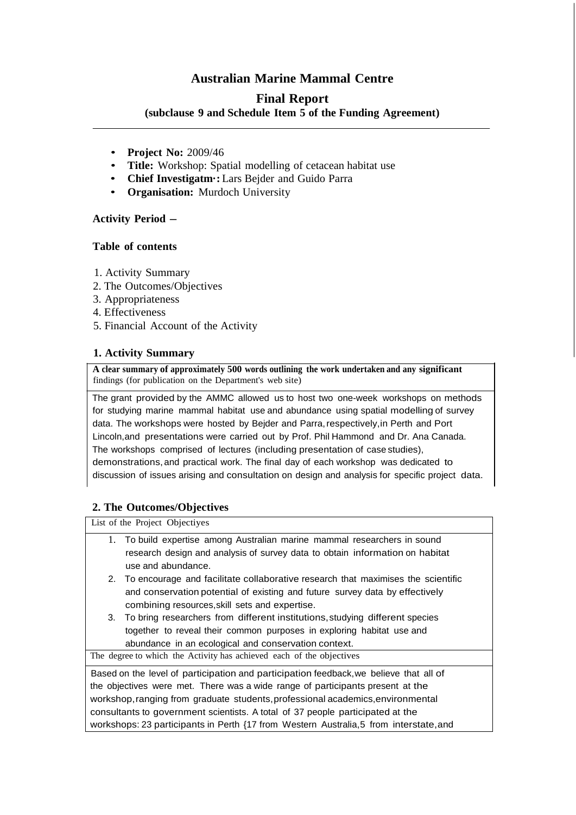# **Australian Marine Mammal Centre**

## **Final Report**

**(subclause 9 and Schedule Item 5 of the Funding Agreement)**

- **Project No:** 2009/46
- **Title:** Workshop: Spatial modelling of cetacean habitat use
- **Chief Investigatm·:** Lars Bejder and Guido Parra
- **Organisation:** Murdoch University

## **Activity Period** -

#### **Table of contents**

- 1. Activity Summary
- 2. The Outcomes/Objectives
- 3. Appropriateness
- 4. Effectiveness
- 5. Financial Account of the Activity

## **1. Activity Summary**

**A clear summary of approximately 500 words outlining the work undertaken and any significant** findings (for publication on the Department's web site)

The grant provided by the AMMC allowed us to host two one-week workshops on methods for studying marine mammal habitat use and abundance using spatial modelling of survey data. The workshops were hosted by Bejder and Parra, respectively, in Perth and Port Lincoln,and presentations were carried out by Prof. Phil Hammond and Dr. Ana Canada. The workshops comprised of lectures (including presentation of case studies), demonstrations,and practical work. The final day of each workshop was dedicated to discussion of issues arising and consultation on design and analysis for specific project data.

#### **2. The Outcomes/Objectives**

List of the Project Objectiyes

|                                                                                                                 | 1. To build expertise among Australian marine mammal researchers in sound                          |
|-----------------------------------------------------------------------------------------------------------------|----------------------------------------------------------------------------------------------------|
|                                                                                                                 | research design and analysis of survey data to obtain information on habitat<br>use and abundance. |
|                                                                                                                 |                                                                                                    |
|                                                                                                                 | 2. To encourage and facilitate collaborative research that maximises the scientific                |
|                                                                                                                 | and conservation potential of existing and future survey data by effectively                       |
|                                                                                                                 | combining resources, skill sets and expertise.                                                     |
|                                                                                                                 | 3. To bring researchers from different institutions, studying different species                    |
|                                                                                                                 | together to reveal their common purposes in exploring habitat use and                              |
|                                                                                                                 | abundance in an ecological and conservation context.                                               |
|                                                                                                                 | The degree to which the Activity has achieved each of the objectives                               |
| اللوالم فمطلب ويتمالونه المتحامل والموالي ويتلقط والمتابس والمستور ويتلقط والمتحال والمتحال والانسوار والموجعات |                                                                                                    |

Based on the level of participation and participation feedback,we believe that all of the objectives were met. There was a wide range of participants present at the workshop,ranging from graduate students,professional academics,environmental consultants to government scientists. A total of 37 people participated at the workshops: 23 participants in Perth {17 from Western Australia,5 from interstate,and